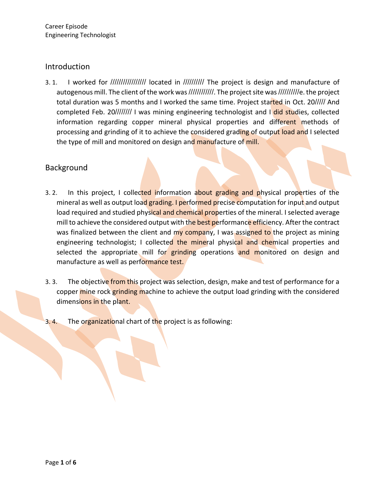## Introduction

3. 1. I worked for //////////////////// located in /////////// The project is design and manufacture of autogenous mill. The client of the work was ////////////. The project site was //////////e. the project total duration was 5 months and I worked the same time. Project started in Oct. 20///// And completed Feb. 20//////// I was mining engineering technologist and I did studies, collected information regarding copper mineral physical properties and different methods of processing and grinding of it to achieve the considered grading of output load and I selected the type of mill and monitored on design and manufacture of mill.

## Background

- 3. 2. In this project, I collected information about grading and physical properties of the mineral as well as output load grading. I performed precise computation for input and output load required and studied physical and chemical properties of the mineral. I selected average mill to achieve the considered output with the best performance efficiency. After the contract was finalized between the client and my company, I was assigned to the project as mining engineering technologist; I collected the mineral physical and chemical properties and selected the appropriate mill for grinding operations and monitored on design and manufacture as well as performance test.
- 3. 3. The objective from this project was selection, design, make and test of performance for a copper mine rock grinding machine to achieve the output load grinding with the considered dimensions in the plant.
- 3.4. The organizational chart of the project is as following: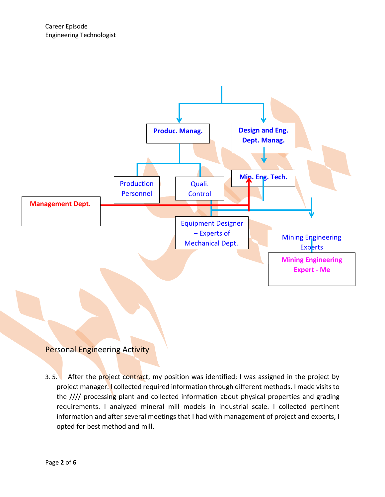

# **Personal Engineering Activity**

3. 5. After the project contract, my position was identified; I was assigned in the project by project manager. I collected required information through different methods. I made visits to the //// processing plant and collected information about physical properties and grading requirements. I analyzed mineral mill models in industrial scale. I collected pertinent information and after several meetings that I had with management of project and experts, I opted for best method and mill.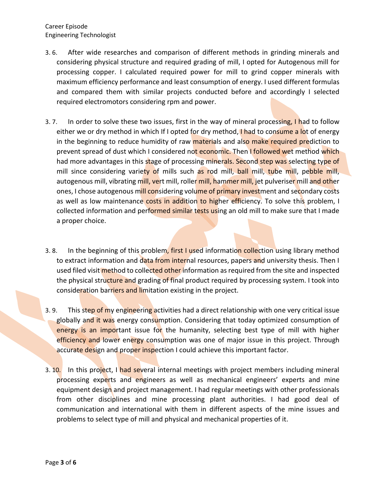Career Episode Engineering Technologist

- 3. 6. After wide researches and comparison of different methods in grinding minerals and considering physical structure and required grading of mill, I opted for Autogenous mill for processing copper. I calculated required power for mill to grind copper minerals with maximum efficiency performance and least consumption of energy. I used different formulas and compared them with similar projects conducted before and accordingly I selected required electromotors considering rpm and power.
- 3. 7. In order to solve these two issues, first in the way of mineral processing, I had to follow either we or dry method in which If I opted for dry method, I had to consume a lot of energy in the beginning to reduce humidity of raw materials and also make required prediction to prevent spread of dust which I considered not economic. Then I followed wet method which had more advantages in this stage of processing minerals. Second step was selecting type of mill since considering variety of mills such as rod mill, ball mill, tube mill, pebble mill, autogenous mill, vibrating mill, vert mill, roller mill, hammer mill, jet pulveriser mill and other ones, I chose autogenous mill considering volume of primary investment and secondary costs as well as low maintenance costs in addition to higher efficiency. To solve this problem, I collected information and performed similar tests using an old mill to make sure that I made a proper choice.
- 3. 8. In the beginning of this problem, first I used information collection using library method to extract information and data from internal resources, papers and university thesis. Then I used filed visit method to collected other information as required from the site and inspected the physical structure and grading of final product required by processing system. I took into consideration barriers and limitation existing in the project.
- 3. 9. This step of my engineering activities had a direct relationship with one very critical issue globally and it was energy consumption. Considering that today optimized consumption of energy is an important issue for the humanity, selecting best type of mill with higher efficiency and lower energy consumption was one of major issue in this project. Through accurate design and proper inspection I could achieve this important factor.
- 3. 10. In this project, I had several internal meetings with project members including mineral processing experts and engineers as well as mechanical engineers' experts and mine equipment design and project management. I had regular meetings with other professionals from other disciplines and mine processing plant authorities. I had good deal of communication and international with them in different aspects of the mine issues and problems to select type of mill and physical and mechanical properties of it.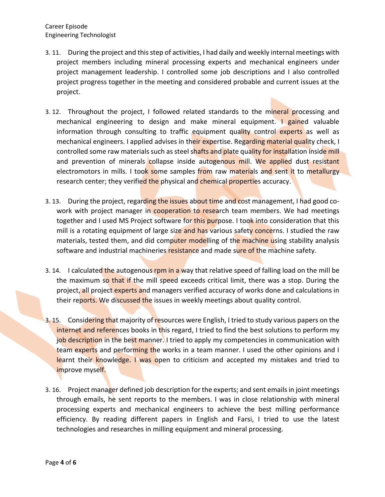- 3. 11. During the project and this step of activities, I had daily and weekly internal meetings with project members including mineral processing experts and mechanical engineers under project management leadership. I controlled some job descriptions and I also controlled project progress together in the meeting and considered probable and current issues at the project.
- 3.12. Throughout the project, I followed related standards to the mineral processing and mechanical engineering to design and make mineral equipment. I gained valuable information through consulting to traffic equipment quality control experts as well as mechanical engineers. I applied advises in their expertise. Regarding material quality check, I controlled some raw materials such as steel shafts and plate quality for installation inside mill and prevention of minerals collapse inside autogenous mill. We applied dust resistant electromotors in mills. I took some samples from raw materials and sent it to metallurgy research center; they verified the physical and chemical properties accuracy.
- 3. 13. During the project, regarding the issues about time and cost management, I had good cowork with project manager in **cooperation to resea**rch team members. We had meetings together and I used MS Project software for this purpose. I took into consideration that this mill is a rotating equipment of large size and has various safety concerns. I studied the raw materials, tested them, and did computer modelling of the machine using stability analysis software and industrial machineries resistance and made sure of the machine safety.
- 3. 14. I calculated the autogenous rpm in a way that relative speed of falling load on the mill be the maximum so that if the mill speed exceeds critical limit, there was a stop. During the project, all project experts and managers verified accuracy of works done and calculations in their reports. We discussed the issues in weekly meetings about quality control.
- 3. 15. Considering that majority of resources were English, I tried to study various papers on the internet and references books in this regard, I tried to find the best solutions to perform my job description in the best manner. I tried to apply my competencies in communication with team experts and performing the works in a team manner. I used the other opinions and I learnt their knowledge. I was open to criticism and accepted my mistakes and tried to improve myself.
- 3. 16. Project manager defined job description for the experts; and sent emails in joint meetings through emails, he sent reports to the members. I was in close relationship with mineral processing experts and mechanical engineers to achieve the best milling performance efficiency. By reading different papers in English and Farsi, I tried to use the latest technologies and researches in milling equipment and mineral processing.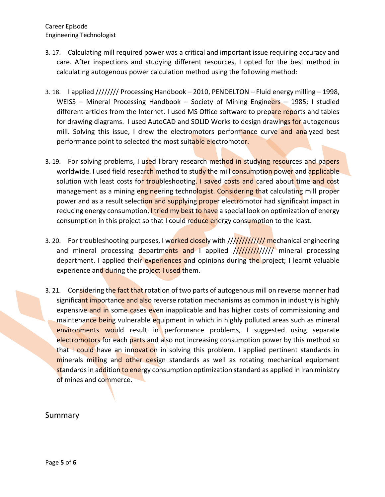Career Episode Engineering Technologist

- 3. 17. Calculating mill required power was a critical and important issue requiring accuracy and care. After inspections and studying different resources, I opted for the best method in calculating autogenous power calculation method using the following method:
- 3. 18. I applied //////// Processing Handbook 2010, PENDELTON Fluid energy milling 1998, WEISS - Mineral Processing Handbook - Society of Mining Engineers - 1985; I studied different articles from the Internet. I used MS Office software to prepare reports and tables for drawing diagrams. I used AutoCAD and SOLID Works to design drawings for autogenous mill. Solving this issue, I drew the electromotors performance curve and analyzed best performance point to selected the most suitable electromotor.
- 3. 19. For solving problems, I used library research method in studying resources and papers worldwide. I used field research method to study the mill consumption power and applicable solution with least costs for troubleshooting. I saved costs and cared about time and cost management as a mining engineering technologist. Considering that calculating mill proper power and as a result selection and supplying proper electromotor had significant impact in reducing energy consumption, I tried my best to have a special look on optimization of energy consumption in this project so that I could reduce energy consumption to the least.
- 3. 20. For troubleshooting purposes, I worked closely with ///////////////// mechanical engineering and mineral processing departments and I applied ///////////////// mineral processing department. I applied their experiences and opinions during the project; I learnt valuable experience and during the project I used them.
- 3. 21. Considering the fact that rotation of two parts of autogenous mill on reverse manner had significant importance and also reverse rotation mechanisms as common in industry is highly expensive and in some cases even inapplicable and has higher costs of commissioning and maintenance being vulnerable equipment in which in highly polluted areas such as mineral environments would result in performance problems, I suggested using separate electromotors for each parts and also not increasing consumption power by this method so that I could have an innovation in solving this problem. I applied pertinent standards in minerals milling and other design standards as well as rotating mechanical equipment standards in addition to energy consumption optimization standard as applied in Iran ministry of mines and commerce.

## Summary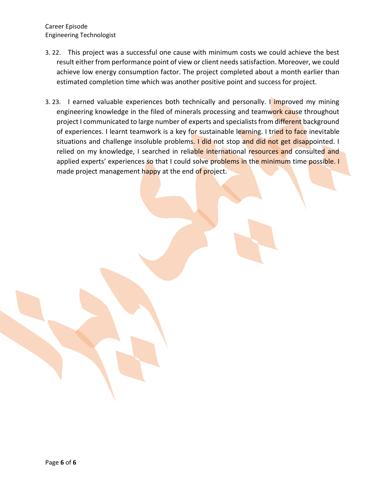Career Episode Engineering Technologist

- 3. 22. This project was a successful one cause with minimum costs we could achieve the best result either from performance point of view or client needs satisfaction. Moreover, we could achieve low energy consumption factor. The project completed about a month earlier than estimated completion time which was another positive point and success for project.
- 3. 23. I earned valuable experiences both technically and personally. I improved my mining engineering knowledge in the filed of minerals processing and teamwork cause throughout project I communicated to large number of experts and specialists from different background of experiences. I learnt teamwork is a key for sustainable learning. I tried to face inevitable situations and challenge insoluble problems. I did not stop and did not get disappointed. I relied on my knowledge, I searched in reliable international resources and consulted and applied experts' experiences so that I could solve problems in the minimum time possible. I made project management happy at the end of project.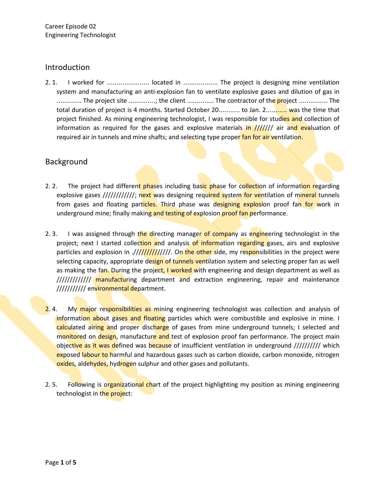#### Introduction

2. 1. I worked for ........................ located in .................... The project is designing mine ventilation system and manufacturing an anti-explosion fan to ventilate explosive gases and dilution of gas in .............. The project site ..............; the client ............... The contractor of the project ................ The total duration of project is 4 months. Started October 20........... to Jan. 2............. was the time that project finished. As mining engineering technologist, I was responsible for studies and collection of information as required for the gases and explosive materials in /////// air and evaluation of required air in tunnels and mine shafts; and selecting type proper fan for air ventilation.

# Background

- 2. 2. The project had different phases including basic phase for collection of information regarding explosive gases ////////////; next was designing required system for ventilation of mineral tunnels from gases and floating particles. Third phase was designing explosion proof fan for work in underground mine; finally making and testing of explosion proof fan performance.
- 2. 3. I was assigned through the directing manager of company as engineering technologist in the project; next I started collection and analysis of information regarding gases, airs and explosive particles and explosion in .//////////////////. On the other side, my responsibilities in the project were selecting capacity, appropriate design of tunnels ventilation system and selecting proper fan as well as making the fan. During the project, I worked with engineering and design department as well as ///////////////// manufacturing department and extraction engineering, repair and maintenance /////////////// environmental department.
- 2.4. My major responsibilities as mining engineering technologist was collection and analysis of information about gases and floating particles which were combustible and explosive in mine. I calculated airing and proper discharge of gases from mine underground tunnels; I selected and monitored on design, manufacture and test of explosion proof fan performance. The project main objective as it was defined was because of insufficient ventilation in underground ////////// which exposed labour to harmful and hazardous gases such as carbon dioxide, carbon monoxide, nitrogen oxides, aldehydes, hydrogen sulphur and other gases and pollutants.
- 2. 5. Following is organizational chart of the project highlighting my position as mining engineering technologist in the project: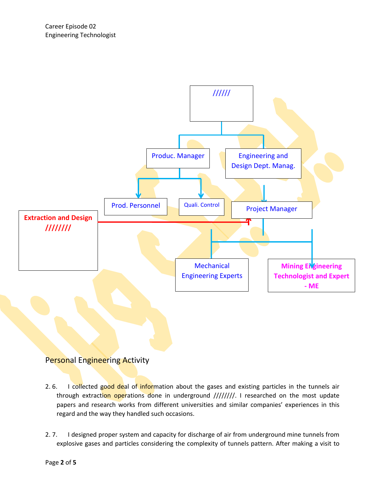

# Personal Engineering Activity

- 2. 6. I collected good deal of information about the gases and existing particles in the tunnels air through extraction operations done in underground ////////. I researched on the most update papers and research works from different universities and similar companies' experiences in this regard and the way they handled such occasions.
- 2. 7. I designed proper system and capacity for discharge of air from underground mine tunnels from explosive gases and particles considering the complexity of tunnels pattern. After making a visit to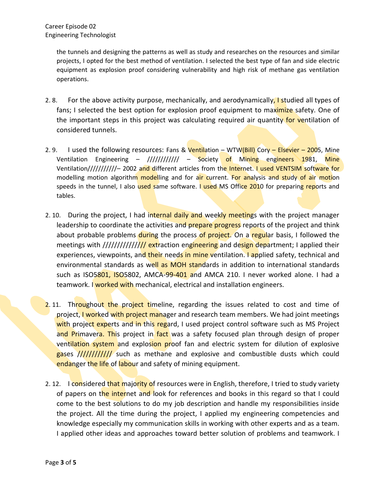the tunnels and designing the patterns as well as study and researches on the resources and similar projects, I opted for the best method of ventilation. I selected the best type of fan and side electric equipment as explosion proof considering vulnerability and high risk of methane gas ventilation operations.

- 2. 8. For the above activity purpose, mechanically, and aerodynamically, I studied all types of fans; I selected the best option for explosion proof equipment to maximize safety. One of the important steps in this project was calculating required air quantity for ventilation of considered tunnels.
- 2. 9. I used the following resources: Fans & Ventilation WTW(Bill) Cory Elsevier 2005, Mine Ventilation Engineering – //////////// – Society of Mining engineers 1981, Mine Ventilation////////////- 2002 and different articles from the Internet. I used VENTSIM software for modelling motion algorithm modelling and for air current. For analysis and study of air motion speeds in the tunnel, I also used same software. I used MS Office 2010 for preparing reports and tables.
- 2. 10. During the project, I had internal daily and weekly meetings with the project manager leadership to coordinate the activities and prepare progress reports of the project and think about probable problems during the process of project. On a regular basis, I followed the meetings with ///////////////// extraction engineering and design department; I applied their experiences, viewpoints, and their needs in mine ventilation. I applied safety, technical and environmental standards as well as MOH standards in addition to international standards such as ISO5801, ISO5802, AMCA-99-401 and AMCA 210. I never worked alone. I had a teamwork. I worked with mechanical, electrical and installation engineers.
- 2.11. Throughout the project timeline, regarding the issues related to cost and time of project, I worked with project manager and research team members. We had joint meetings with project experts and in this regard, I used project control software such as MS Project and Primavera. This project in fact was a safety focused plan through design of proper ventilation system and explosion proof fan and electric system for dilution of explosive gases ////////////// such as methane and explosive and combustible dusts which could endanger the life of labour and safety of mining equipment.
- 2. 12. I considered that majority of resources were in English, therefore, I tried to study variety of papers on the internet and look for references and books in this regard so that I could come to the best solutions to do my job description and handle my responsibilities inside the project. All the time during the project, I applied my engineering competencies and knowledge especially my communication skills in working with other experts and as a team. I applied other ideas and approaches toward better solution of problems and teamwork. I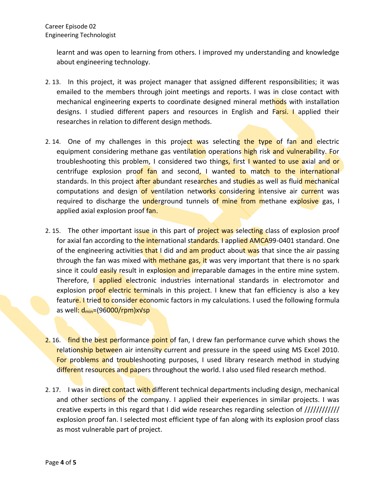learnt and was open to learning from others. I improved my understanding and knowledge about engineering technology.

- 2. 13. In this project, it was project manager that assigned different responsibilities; it was emailed to the members through joint meetings and reports. I was in close contact with mechanical engineering experts to coordinate designed mineral methods with installation designs. I studied different papers and resources in English and Farsi. I applied their researches in relation to different design methods.
- 2.14. One of my challenges in this project was selecting the type of fan and electric equipment considering methane gas ventilation operations high risk and vulnerability. For troubleshooting this problem, I considered two things, first I wanted to use axial and or centrifuge explosion proof fan and second, I wanted to match to the international standards. In this project after abundant researches and studies as well as fluid mechanical computations and design of ventilation networks considering intensive air current was required to discharge the underground tunnels of mine from methane explosive gas, I applied axial explosion proof fan.
- 2. 15. The other important issue in this part of project was selecting class of explosion proof for axial fan according to the international standards. I applied AMCA99-0401 standard. One of the engineering activities that I did and am product about was that since the air passing through the fan was mixed with methane gas, it was very important that there is no spark since it could easily result in explosion and irreparable damages in the entire mine system. Therefore, I applied electronic industries international standards in electromotor and explosion proof electric terminals in this project. I knew that fan efficiency is also a key feature. I tried to consider economic factors in my calculations. I used the following formula as well: d<sub>min</sub>=(96000/rpm)x√sp
- 2.16. find the best performance point of fan, I drew fan performance curve which shows the relationship between air intensity current and pressure in the speed using MS Excel 2010. For problems and troubleshooting purposes, I used library research method in studying different resources and papers throughout the world. I also used filed research method.
- 2. 17. I was in direct contact with different technical departments including design, mechanical and other sections of the company. I applied their experiences in similar projects. I was creative experts in this regard that I did wide researches regarding selection of //////////// explosion proof fan. I selected most efficient type of fan along with its explosion proof class as most vulnerable part of project.